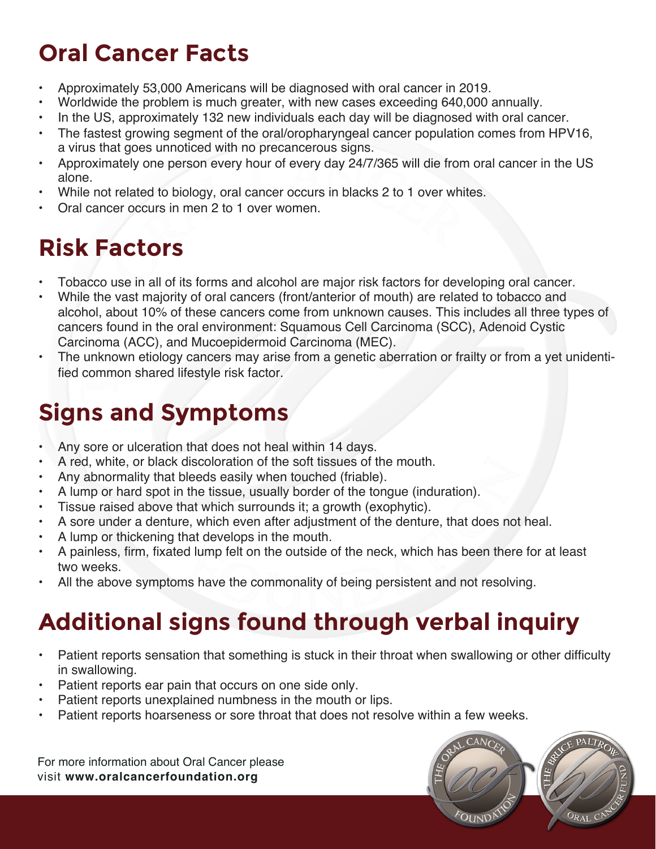## **Oral Cancer Facts**

- Approximately 53,000 Americans will be diagnosed with oral cancer in 2019.
- Worldwide the problem is much greater, with new cases exceeding 640,000 annually.
- In the US, approximately 132 new individuals each day will be diagnosed with oral cancer.
- The fastest growing segment of the oral/oropharyngeal cancer population comes from HPV16, a virus that goes unnoticed with no precancerous signs.
- Approximately one person every hour of every day 24/7/365 will die from oral cancer in the US alone.
- While not related to biology, oral cancer occurs in blacks 2 to 1 over whites.
- Oral cancer occurs in men 2 to 1 over women.

## **Risk Factors**

- Tobacco use in all of its forms and alcohol are major risk factors for developing oral cancer.
- While the vast majority of oral cancers (front/anterior of mouth) are related to tobacco and alcohol, about 10% of these cancers come from unknown causes. This includes all three types of cancers found in the oral environment: Squamous Cell Carcinoma (SCC), Adenoid Cystic Carcinoma (ACC), and Mucoepidermoid Carcinoma (MEC).
- The unknown etiology cancers may arise from a genetic aberration or frailty or from a yet unidentified common shared lifestyle risk factor.

# **Signs and Symptoms**

- Any sore or ulceration that does not heal within 14 days.
- A red, white, or black discoloration of the soft tissues of the mouth.
- Any abnormality that bleeds easily when touched (friable).
- A lump or hard spot in the tissue, usually border of the tongue (induration).
- Tissue raised above that which surrounds it; a growth (exophytic).
- A sore under a denture, which even after adjustment of the denture, that does not heal.
- A lump or thickening that develops in the mouth.
- A painless, firm, fixated lump felt on the outside of the neck, which has been there for at least two weeks.
- All the above symptoms have the commonality of being persistent and not resolving.

# **Additional signs found through verbal inquiry**

- Patient reports sensation that something is stuck in their throat when swallowing or other difficulty in swallowing.
- Patient reports ear pain that occurs on one side only.
- Patient reports unexplained numbness in the mouth or lips.
- Patient reports hoarseness or sore throat that does not resolve within a few weeks.

For more information about Oral Cancer please visit **www.oralcancerfoundation.org**